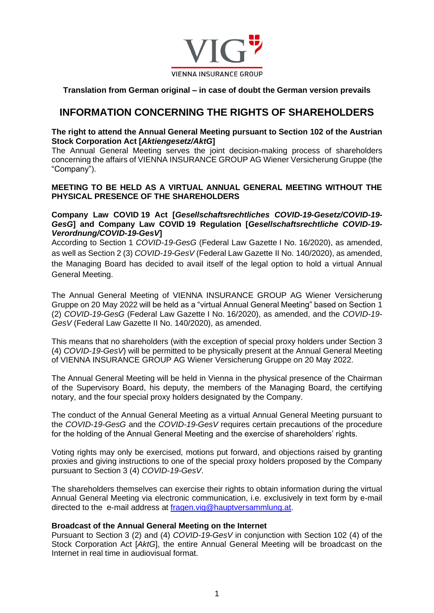

**Translation from German original – in case of doubt the German version prevails**

# **INFORMATION CONCERNING THE RIGHTS OF SHAREHOLDERS**

## **The right to attend the Annual General Meeting pursuant to Section 102 of the Austrian Stock Corporation Act [***Aktiengesetz/AktG***]**

The Annual General Meeting serves the joint decision-making process of shareholders concerning the affairs of VIENNA INSURANCE GROUP AG Wiener Versicherung Gruppe (the "Company").

# **MEETING TO BE HELD AS A VIRTUAL ANNUAL GENERAL MEETING WITHOUT THE PHYSICAL PRESENCE OF THE SHAREHOLDERS**

## **Company Law COVID 19 Act [***Gesellschaftsrechtliches COVID-19-Gesetz/COVID-19- GesG***] and Company Law COVID 19 Regulation [***Gesellschaftsrechtliche COVID-19- Verordnung/COVID-19-GesV***]**

According to Section 1 *COVID-19-GesG* (Federal Law Gazette I No. 16/2020), as amended, as well as Section 2 (3) *COVID-19-GesV* (Federal Law Gazette II No. 140/2020), as amended, the Managing Board has decided to avail itself of the legal option to hold a virtual Annual General Meeting.

The Annual General Meeting of VIENNA INSURANCE GROUP AG Wiener Versicherung Gruppe on 20 May 2022 will be held as a "virtual Annual General Meeting" based on Section 1 (2) *COVID-19-GesG* (Federal Law Gazette I No. 16/2020), as amended, and the *COVID-19- GesV* (Federal Law Gazette II No. 140/2020), as amended.

This means that no shareholders (with the exception of special proxy holders under Section 3 (4) *COVID-19-GesV*) will be permitted to be physically present at the Annual General Meeting of VIENNA INSURANCE GROUP AG Wiener Versicherung Gruppe on 20 May 2022.

The Annual General Meeting will be held in Vienna in the physical presence of the Chairman of the Supervisory Board, his deputy, the members of the Managing Board, the certifying notary, and the four special proxy holders designated by the Company.

The conduct of the Annual General Meeting as a virtual Annual General Meeting pursuant to the *COVID-19-GesG* and the *COVID-19-GesV* requires certain precautions of the procedure for the holding of the Annual General Meeting and the exercise of shareholders' rights.

Voting rights may only be exercised, motions put forward, and objections raised by granting proxies and giving instructions to one of the special proxy holders proposed by the Company pursuant to Section 3 (4) *COVID-19-GesV*.

The shareholders themselves can exercise their rights to obtain information during the virtual Annual General Meeting via electronic communication, i.e. exclusively in text form by e-mail directed to the e-mail address at [fragen.vig@hauptversammlung.at.](mailto:fragen.vig@hauptversammlung.at)

# **Broadcast of the Annual General Meeting on the Internet**

Pursuant to Section 3 (2) and (4) *COVID-19-GesV* in conjunction with Section 102 (4) of the Stock Corporation Act [*AktG*], the entire Annual General Meeting will be broadcast on the Internet in real time in audiovisual format.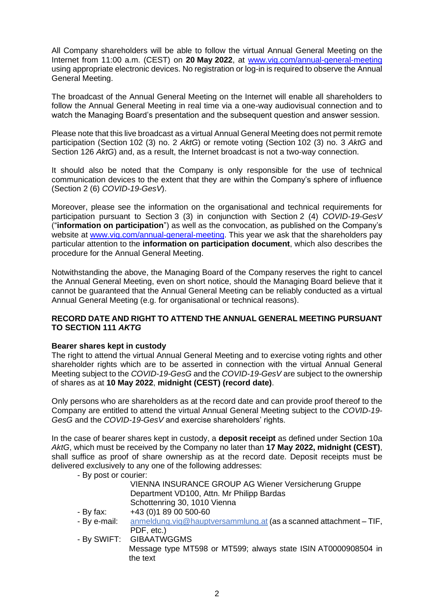All Company shareholders will be able to follow the virtual Annual General Meeting on the Internet from 11:00 a.m. (CEST) on **20 May 2022**, at [www.vig.com/annual-general-meeting](http://www.vig.com/annual-general-meeting) using appropriate electronic devices. No registration or log-in is required to observe the Annual General Meeting.

The broadcast of the Annual General Meeting on the Internet will enable all shareholders to follow the Annual General Meeting in real time via a one-way audiovisual connection and to watch the Managing Board's presentation and the subsequent question and answer session.

Please note that this live broadcast as a virtual Annual General Meeting does not permit remote participation (Section 102 (3) no. 2 *AktG*) or remote voting (Section 102 (3) no. 3 *AktG* and Section 126 *AktG*) and, as a result, the Internet broadcast is not a two-way connection.

It should also be noted that the Company is only responsible for the use of technical communication devices to the extent that they are within the Company's sphere of influence (Section 2 (6) *COVID-19-GesV*).

Moreover, please see the information on the organisational and technical requirements for participation pursuant to Section 3 (3) in conjunction with Section 2 (4) *COVID-19-GesV* ("**information on participation**") as well as the convocation, as published on the Company's website at [www.vig.com/annual-general-meeting.](http://www.vig.com/annual-general-meeting) This year we ask that the shareholders pay particular attention to the **information on participation document**, which also describes the procedure for the Annual General Meeting.

Notwithstanding the above, the Managing Board of the Company reserves the right to cancel the Annual General Meeting, even on short notice, should the Managing Board believe that it cannot be guaranteed that the Annual General Meeting can be reliably conducted as a virtual Annual General Meeting (e.g. for organisational or technical reasons).

## **RECORD DATE AND RIGHT TO ATTEND THE ANNUAL GENERAL MEETING PURSUANT TO SECTION 111** *AKTG*

# **Bearer shares kept in custody**

The right to attend the virtual Annual General Meeting and to exercise voting rights and other shareholder rights which are to be asserted in connection with the virtual Annual General Meeting subject to the *COVID-19-GesG* and the *COVID-19-GesV* are subject to the ownership of shares as at **10 May 2022**, **midnight (CEST) (record date)**.

Only persons who are shareholders as at the record date and can provide proof thereof to the Company are entitled to attend the virtual Annual General Meeting subject to the *COVID-19- GesG* and the *COVID-19-GesV* and exercise shareholders' rights.

In the case of bearer shares kept in custody, a **deposit receipt** as defined under Section 10a *AktG*, which must be received by the Company no later than **17 May 2022, midnight (CEST)**, shall suffice as proof of share ownership as at the record date. Deposit receipts must be delivered exclusively to any one of the following addresses:

- By post or courier:

| VIENNA INSURANCE GROUP AG Wiener Versicherung Gruppe |  |
|------------------------------------------------------|--|
| Department VD100, Attn. Mr Philipp Bardas            |  |
| Schottenring 30, 1010 Vienna                         |  |

- $-$  By fax:  $+43$  (0)1 89 00 500-60
- By e-mail: [anmeldung.vig@hauptversammlung.at](mailto:anmeldung.vig@hauptversammlung.at) (as a scanned attachment TIF, PDF, etc.)
- By SWIFT: GIBAATWGGMS Message type MT598 or MT599; always state ISIN AT0000908504 in the text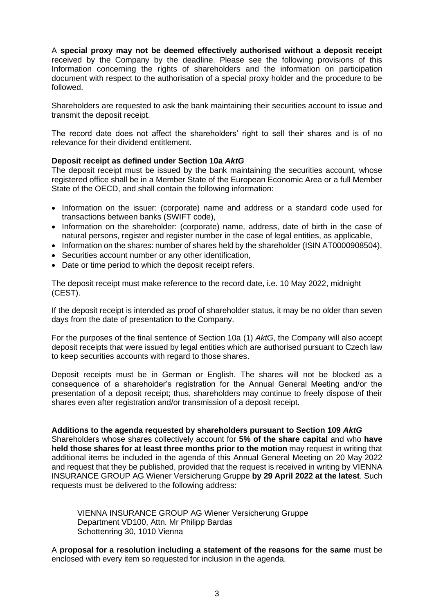A **special proxy may not be deemed effectively authorised without a deposit receipt**  received by the Company by the deadline. Please see the following provisions of this Information concerning the rights of shareholders and the information on participation document with respect to the authorisation of a special proxy holder and the procedure to be followed.

Shareholders are requested to ask the bank maintaining their securities account to issue and transmit the deposit receipt.

The record date does not affect the shareholders' right to sell their shares and is of no relevance for their dividend entitlement.

## **Deposit receipt as defined under Section 10a** *AktG*

The deposit receipt must be issued by the bank maintaining the securities account, whose registered office shall be in a Member State of the European Economic Area or a full Member State of the OECD, and shall contain the following information:

- Information on the issuer: (corporate) name and address or a standard code used for transactions between banks (SWIFT code),
- Information on the shareholder: (corporate) name, address, date of birth in the case of natural persons, register and register number in the case of legal entities, as applicable,
- Information on the shares: number of shares held by the shareholder (ISIN AT0000908504),
- Securities account number or any other identification,
- Date or time period to which the deposit receipt refers.

The deposit receipt must make reference to the record date, i.e. 10 May 2022, midnight (CEST).

If the deposit receipt is intended as proof of shareholder status, it may be no older than seven days from the date of presentation to the Company.

For the purposes of the final sentence of Section 10a (1) *AktG*, the Company will also accept deposit receipts that were issued by legal entities which are authorised pursuant to Czech law to keep securities accounts with regard to those shares.

Deposit receipts must be in German or English. The shares will not be blocked as a consequence of a shareholder's registration for the Annual General Meeting and/or the presentation of a deposit receipt; thus, shareholders may continue to freely dispose of their shares even after registration and/or transmission of a deposit receipt.

#### **Additions to the agenda requested by shareholders pursuant to Section 109** *AktG*

Shareholders whose shares collectively account for **5% of the share capital** and who **have held those shares for at least three months prior to the motion** may request in writing that additional items be included in the agenda of this Annual General Meeting on 20 May 2022 and request that they be published, provided that the request is received in writing by VIENNA INSURANCE GROUP AG Wiener Versicherung Gruppe **by 29 April 2022 at the latest**. Such requests must be delivered to the following address:

VIENNA INSURANCE GROUP AG Wiener Versicherung Gruppe Department VD100, Attn. Mr Philipp Bardas Schottenring 30, 1010 Vienna

A **proposal for a resolution including a statement of the reasons for the same** must be enclosed with every item so requested for inclusion in the agenda.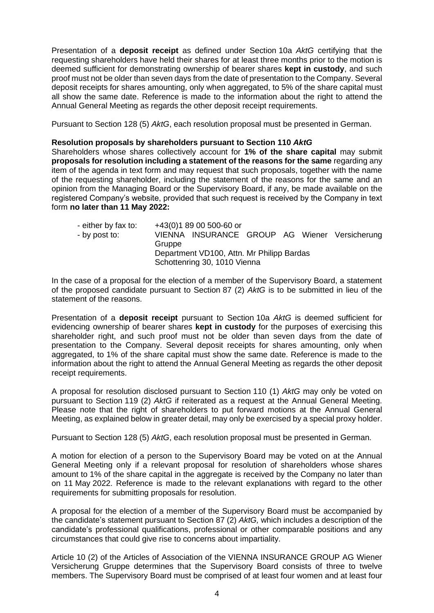Presentation of a **deposit receipt** as defined under Section 10a *AktG* certifying that the requesting shareholders have held their shares for at least three months prior to the motion is deemed sufficient for demonstrating ownership of bearer shares **kept in custody**, and such proof must not be older than seven days from the date of presentation to the Company. Several deposit receipts for shares amounting, only when aggregated, to 5% of the share capital must all show the same date. Reference is made to the information about the right to attend the Annual General Meeting as regards the other deposit receipt requirements.

Pursuant to Section 128 (5) *AktG*, each resolution proposal must be presented in German.

#### **Resolution proposals by shareholders pursuant to Section 110** *AktG*

Shareholders whose shares collectively account for **1% of the share capital** may submit **proposals for resolution including a statement of the reasons for the same** regarding any item of the agenda in text form and may request that such proposals, together with the name of the requesting shareholder, including the statement of the reasons for the same and an opinion from the Managing Board or the Supervisory Board, if any, be made available on the registered Company's website, provided that such request is received by the Company in text form **no later than 11 May 2022:**

| - either by fax to:<br>- by post to: | Gruppe                                                                    | +43(0)1 89 00 500-60 or<br>VIENNA INSURANCE GROUP AG Wiener Versicherung |  |  |  |  |
|--------------------------------------|---------------------------------------------------------------------------|--------------------------------------------------------------------------|--|--|--|--|
|                                      | Department VD100, Attn. Mr Philipp Bardas<br>Schottenring 30, 1010 Vienna |                                                                          |  |  |  |  |

In the case of a proposal for the election of a member of the Supervisory Board, a statement of the proposed candidate pursuant to Section 87 (2) *AktG* is to be submitted in lieu of the statement of the reasons.

Presentation of a **deposit receipt** pursuant to Section 10a *AktG* is deemed sufficient for evidencing ownership of bearer shares **kept in custody** for the purposes of exercising this shareholder right, and such proof must not be older than seven days from the date of presentation to the Company. Several deposit receipts for shares amounting, only when aggregated, to 1% of the share capital must show the same date. Reference is made to the information about the right to attend the Annual General Meeting as regards the other deposit receipt requirements.

A proposal for resolution disclosed pursuant to Section 110 (1) *AktG* may only be voted on pursuant to Section 119 (2) *AktG* if reiterated as a request at the Annual General Meeting. Please note that the right of shareholders to put forward motions at the Annual General Meeting, as explained below in greater detail, may only be exercised by a special proxy holder.

Pursuant to Section 128 (5) *AktG*, each resolution proposal must be presented in German.

A motion for election of a person to the Supervisory Board may be voted on at the Annual General Meeting only if a relevant proposal for resolution of shareholders whose shares amount to 1% of the share capital in the aggregate is received by the Company no later than on 11 May 2022. Reference is made to the relevant explanations with regard to the other requirements for submitting proposals for resolution.

A proposal for the election of a member of the Supervisory Board must be accompanied by the candidate's statement pursuant to Section 87 (2) *AktG,* which includes a description of the candidate's professional qualifications, professional or other comparable positions and any circumstances that could give rise to concerns about impartiality.

Article 10 (2) of the Articles of Association of the VIENNA INSURANCE GROUP AG Wiener Versicherung Gruppe determines that the Supervisory Board consists of three to twelve members. The Supervisory Board must be comprised of at least four women and at least four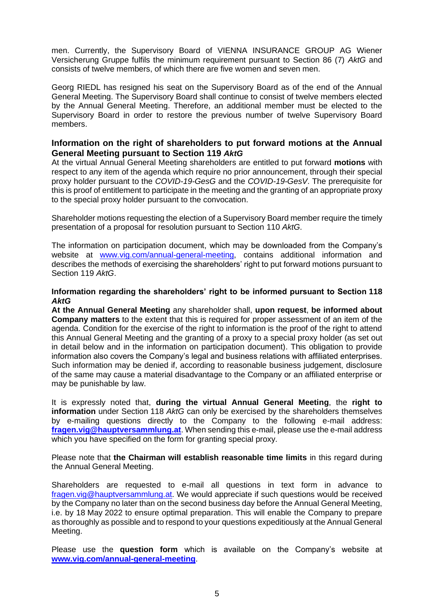men. Currently, the Supervisory Board of VIENNA INSURANCE GROUP AG Wiener Versicherung Gruppe fulfils the minimum requirement pursuant to Section 86 (7) *AktG* and consists of twelve members, of which there are five women and seven men.

Georg RIEDL has resigned his seat on the Supervisory Board as of the end of the Annual General Meeting. The Supervisory Board shall continue to consist of twelve members elected by the Annual General Meeting. Therefore, an additional member must be elected to the Supervisory Board in order to restore the previous number of twelve Supervisory Board members.

## **Information on the right of shareholders to put forward motions at the Annual General Meeting pursuant to Section 119** *AktG*

At the virtual Annual General Meeting shareholders are entitled to put forward **motions** with respect to any item of the agenda which require no prior announcement, through their special proxy holder pursuant to the *COVID-19-GesG* and the *COVID-19-GesV*. The prerequisite for this is proof of entitlement to participate in the meeting and the granting of an appropriate proxy to the special proxy holder pursuant to the convocation.

Shareholder motions requesting the election of a Supervisory Board member require the timely presentation of a proposal for resolution pursuant to Section 110 *AktG*.

The information on participation document, which may be downloaded from the Company's website at [www.vig.com/annual-general-meeting,](http://www.vig.com/annual-general-meeting) contains additional information and describes the methods of exercising the shareholders' right to put forward motions pursuant to Section 119 *AktG*.

## **Information regarding the shareholders' right to be informed pursuant to Section 118** *AktG*

**At the Annual General Meeting** any shareholder shall, **upon request**, **be informed about Company matters** to the extent that this is required for proper assessment of an item of the agenda. Condition for the exercise of the right to information is the proof of the right to attend this Annual General Meeting and the granting of a proxy to a special proxy holder (as set out in detail below and in the information on participation document). This obligation to provide information also covers the Company's legal and business relations with affiliated enterprises. Such information may be denied if, according to reasonable business judgement, disclosure of the same may cause a material disadvantage to the Company or an affiliated enterprise or may be punishable by law.

It is expressly noted that, **during the virtual Annual General Meeting**, the **right to information** under Section 118 *AktG* can only be exercised by the shareholders themselves by e-mailing questions directly to the Company to the following e-mail address: **[fragen.vig@hauptversammlung.at](mailto:fragen.vig@hauptversammlung.at)**. When sending this e-mail, please use the e-mail address which you have specified on the form for granting special proxy.

Please note that **the Chairman will establish reasonable time limits** in this regard during the Annual General Meeting.

Shareholders are requested to e-mail all questions in text form in advance to [fragen.vig@hauptversammlung.at.](mailto:fragen.vig@hauptversammlung.at) We would appreciate if such questions would be received by the Company no later than on the second business day before the Annual General Meeting, i.e. by 18 May 2022 to ensure optimal preparation. This will enable the Company to prepare as thoroughly as possible and to respond to your questions expeditiously at the Annual General Meeting.

Please use the **question form** which is available on the Company's website at **[www.vig.com/annual-general-meeting](http://www.vig.com/annual-general-meeting)**.